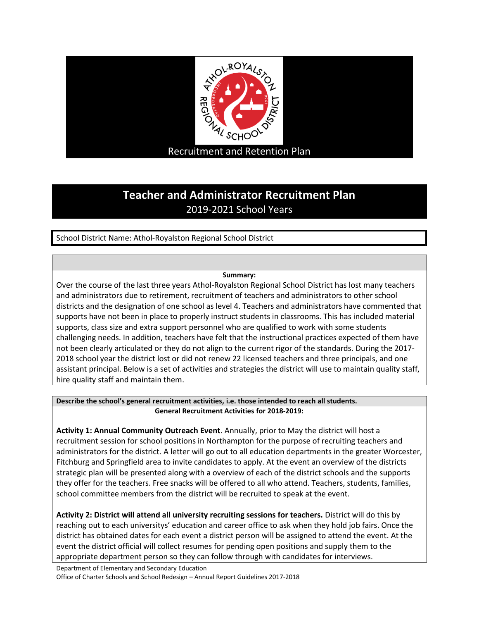

## **Teacher and Administrator Recruitment Plan** 2019-2021 School Years

School District Name: Athol-Royalston Regional School District

## **Summary:**

Over the course of the last three years Athol-Royalston Regional School District has lost many teachers and administrators due to retirement, recruitment of teachers and administrators to other school districts and the designation of one school as level 4. Teachers and administrators have commented that supports have not been in place to properly instruct students in classrooms. This has included material supports, class size and extra support personnel who are qualified to work with some students challenging needs. In addition, teachers have felt that the instructional practices expected of them have not been clearly articulated or they do not align to the current rigor of the standards. During the 2017- 2018 school year the district lost or did not renew 22 licensed teachers and three principals, and one assistant principal. Below is a set of activities and strategies the district will use to maintain quality staff, hire quality staff and maintain them.

## **Describe the school's general recruitment activities, i.e. those intended to reach all students. General Recruitment Activities for 2018-2019:**

**Activity 1: Annual Community Outreach Event**. Annually, prior to May the district will host a recruitment session for school positions in Northampton for the purpose of recruiting teachers and administrators for the district. A letter will go out to all education departments in the greater Worcester, Fitchburg and Springfield area to invite candidates to apply. At the event an overview of the districts strategic plan will be presented along with a overview of each of the district schools and the supports they offer for the teachers. Free snacks will be offered to all who attend. Teachers, students, families, school committee members from the district will be recruited to speak at the event.

**Activity 2: District will attend all university recruiting sessions for teachers.** District will do this by reaching out to each universitys' education and career office to ask when they hold job fairs. Once the district has obtained dates for each event a district person will be assigned to attend the event. At the event the district official will collect resumes for pending open positions and supply them to the appropriate department person so they can follow through with candidates for interviews.